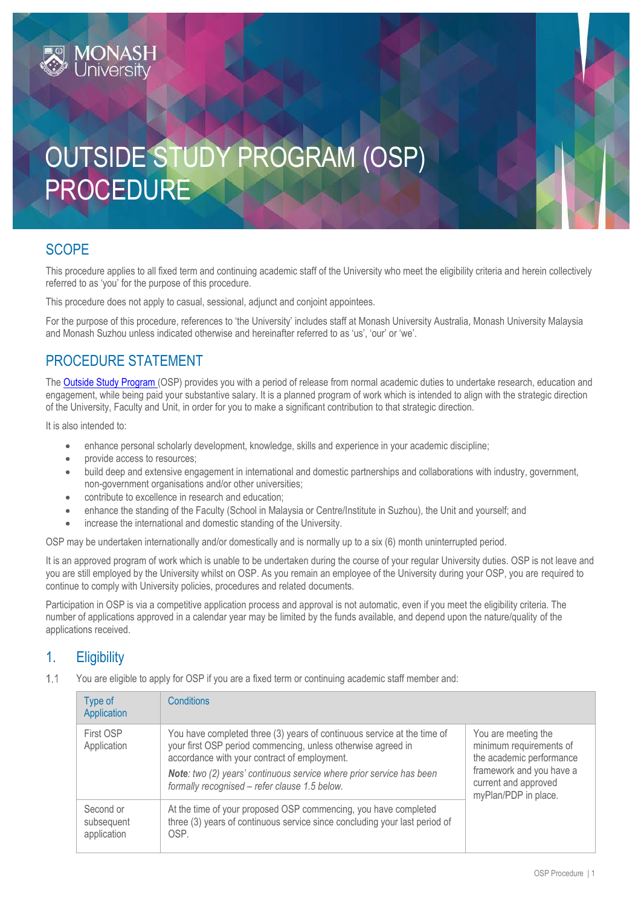# OUTSIDE STUDY PROGRAM (OSP) PROCEDURE

## **SCOPE**

This procedure applies to all fixed term and continuing academic staff of the University who meet the eligibility criteria and herein collectively referred to as 'you' for the purpose of this procedure.

This procedure does not apply to casual, sessional, adjunct and conjoint appointees.

For the purpose of this procedure, references to 'the University' includes staff at Monash University Australia, Monash University Malaysia and Monash Suzhou unless indicated otherwise and hereinafter referred to as 'us', 'our' or 'we'.

## PROCEDURE STATEMENT

The [Outside Study Program \(](https://www.intranet.monash/hr/tools-and-resources/staff-resources/osp)OSP) provides you with a period of release from normal academic duties to undertake research, education and engagement, while being paid your substantive salary. It is a planned program of work which is intended to align with the strategic direction of the University, Faculty and Unit, in order for you to make a significant contribution to that strategic direction.

It is also intended to:

- enhance personal scholarly development, knowledge, skills and experience in your academic discipline;
- provide access to resources;
- build deep and extensive engagement in international and domestic partnerships and collaborations with industry, government, non-government organisations and/or other universities;
- contribute to excellence in research and education;
- enhance the standing of the Faculty (School in Malaysia or Centre/Institute in Suzhou), the Unit and yourself; and
- increase the international and domestic standing of the University.

OSP may be undertaken internationally and/or domestically and is normally up to a six (6) month uninterrupted period.

It is an approved program of work which is unable to be undertaken during the course of your regular University duties. OSP is not leave and you are still employed by the University whilst on OSP. As you remain an employee of the University during your OSP, you are required to continue to comply with University policies, procedures and related documents.

Participation in OSP is via a competitive application process and approval is not automatic, even if you meet the eligibility criteria. The number of applications approved in a calendar year may be limited by the funds available, and depend upon the nature/quality of the applications received.

## 1. Eligibility

 $1.1$ You are eligible to apply for OSP if you are a fixed term or continuing academic staff member and:

| Type of<br>Application                 | <b>Conditions</b>                                                                                                                                                                                                                                                                                                       |                                                                                                                                                        |
|----------------------------------------|-------------------------------------------------------------------------------------------------------------------------------------------------------------------------------------------------------------------------------------------------------------------------------------------------------------------------|--------------------------------------------------------------------------------------------------------------------------------------------------------|
| First OSP<br>Application               | You have completed three (3) years of continuous service at the time of<br>your first OSP period commencing, unless otherwise agreed in<br>accordance with your contract of employment.<br><b>Note:</b> two (2) years' continuous service where prior service has been<br>formally recognised - refer clause 1.5 below. | You are meeting the<br>minimum requirements of<br>the academic performance<br>framework and you have a<br>current and approved<br>myPlan/PDP in place. |
| Second or<br>subsequent<br>application | At the time of your proposed OSP commencing, you have completed<br>three (3) years of continuous service since concluding your last period of<br>OSP.                                                                                                                                                                   |                                                                                                                                                        |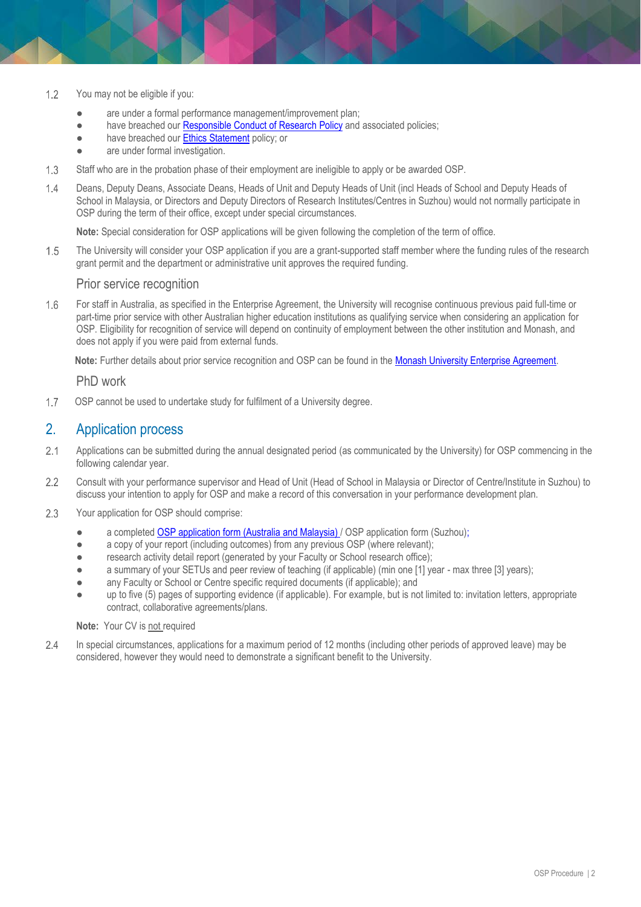- $1.2$ You may not be eligible if you:
	- are under a formal performance management/improvement plan;
	- have breached our [Responsible Conduct of Research](https://www.monash.edu/__data/assets/pdf_file/0006/797370/Responsible-Conduct-of-Research-Policy.pdf) Policy and associated policies;
	- have breached our [Ethics Statement](https://www.monash.edu/__data/assets/pdf_file/0004/1168798/Ethics-Statement.pdf) policy; or
	- are under formal investigation.
- $1.3$ Staff who are in the probation phase of their employment are ineligible to apply or be awarded OSP.
- $14$ Deans, Deputy Deans, Associate Deans, Heads of Unit and Deputy Heads of Unit (incl Heads of School and Deputy Heads of School in Malaysia, or Directors and Deputy Directors of Research Institutes/Centres in Suzhou) would not normally participate in OSP during the term of their office, except under special circumstances.

**Note:** Special consideration for OSP applications will be given following the completion of the term of office.

 $1.5$ The University will consider your OSP application if you are a grant-supported staff member where the funding rules of the research grant permit and the department or administrative unit approves the required funding.

#### Prior service recognition

For staff in Australia, as specified in the Enterprise Agreement, the University will recognise continuous previous paid full-time or 1.6 part-time prior service with other Australian higher education institutions as qualifying service when considering an application for OSP. Eligibility for recognition of service will depend on continuity of employment between the other institution and Monash, and does not apply if you were paid from external funds.

**Note:** Further details about prior service recognition and OSP can be found in the [Monash University Enterprise Agreement.](https://www.monash.edu/current-enterprise-agreements/academic-professional-2019)

#### PhD work

 $1.7$ OSP cannot be used to undertake study for fulfilment of a University degree.

## 2. Application process

- $2.1$ Applications can be submitted during the annual designated period (as communicated by the University) for OSP commencing in the following calendar year.
- $2.2$ Consult with your performance supervisor and Head of Unit (Head of School in Malaysia or Director of Centre/Institute in Suzhou) to discuss your intention to apply for OSP and make a record of this conversation in your performance development plan.
- Your application for OSP should comprise:  $2.3$ 
	- a completed [OSP application form \(Australia](http://www.intranet.monash/hr/assets/docs/tools-and-resources/forms/word/OSP-Application-Form.docx) and Malaysia) / OSP application form (Suzhou);
	- a copy of your report (including outcomes) from any previous OSP (where relevant);
	- research activity detail report (generated by your Faculty or School research office);
	- a summary of your SETUs and peer review of teaching (if applicable) (min one [1] year max three [3] years);
	- any Faculty or School or Centre specific required documents (if applicable); and
	- up to five (5) pages of supporting evidence (if applicable). For example, but is not limited to: invitation letters, appropriate contract, collaborative agreements/plans.

#### **Note:** Your CV is not required

 $2.4$ In special circumstances, applications for a maximum period of 12 months (including other periods of approved leave) may be considered, however they would need to demonstrate a significant benefit to the University.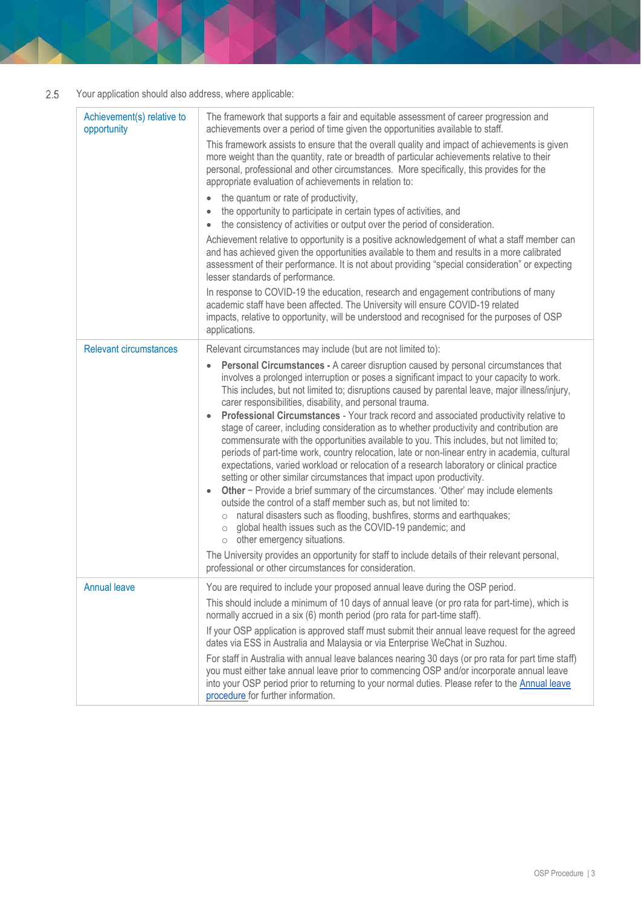#### Your application should also address, where applicable:  $2.5$

| Achievement(s) relative to<br>opportunity | The framework that supports a fair and equitable assessment of career progression and<br>achievements over a period of time given the opportunities available to staff.<br>This framework assists to ensure that the overall quality and impact of achievements is given<br>more weight than the quantity, rate or breadth of particular achievements relative to their<br>personal, professional and other circumstances. More specifically, this provides for the<br>appropriate evaluation of achievements in relation to:<br>the quantum or rate of productivity,<br>$\bullet$<br>the opportunity to participate in certain types of activities, and<br>$\bullet$<br>the consistency of activities or output over the period of consideration.<br>$\bullet$<br>Achievement relative to opportunity is a positive acknowledgement of what a staff member can<br>and has achieved given the opportunities available to them and results in a more calibrated<br>assessment of their performance. It is not about providing "special consideration" or expecting<br>lesser standards of performance.<br>In response to COVID-19 the education, research and engagement contributions of many<br>academic staff have been affected. The University will ensure COVID-19 related<br>impacts, relative to opportunity, will be understood and recognised for the purposes of OSP<br>applications. |
|-------------------------------------------|-------------------------------------------------------------------------------------------------------------------------------------------------------------------------------------------------------------------------------------------------------------------------------------------------------------------------------------------------------------------------------------------------------------------------------------------------------------------------------------------------------------------------------------------------------------------------------------------------------------------------------------------------------------------------------------------------------------------------------------------------------------------------------------------------------------------------------------------------------------------------------------------------------------------------------------------------------------------------------------------------------------------------------------------------------------------------------------------------------------------------------------------------------------------------------------------------------------------------------------------------------------------------------------------------------------------------------------------------------------------------------------------------|
| <b>Relevant circumstances</b>             | Relevant circumstances may include (but are not limited to):                                                                                                                                                                                                                                                                                                                                                                                                                                                                                                                                                                                                                                                                                                                                                                                                                                                                                                                                                                                                                                                                                                                                                                                                                                                                                                                                    |
|                                           | Personal Circumstances - A career disruption caused by personal circumstances that<br>involves a prolonged interruption or poses a significant impact to your capacity to work.<br>This includes, but not limited to; disruptions caused by parental leave, major illness/injury,<br>carer responsibilities, disability, and personal trauma.<br>Professional Circumstances - Your track record and associated productivity relative to<br>stage of career, including consideration as to whether productivity and contribution are<br>commensurate with the opportunities available to you. This includes, but not limited to;<br>periods of part-time work, country relocation, late or non-linear entry in academia, cultural<br>expectations, varied workload or relocation of a research laboratory or clinical practice<br>setting or other similar circumstances that impact upon productivity.<br>Other - Provide a brief summary of the circumstances. 'Other' may include elements<br>$\bullet$<br>outside the control of a staff member such as, but not limited to:<br>natural disasters such as flooding, bushfires, storms and earthquakes;<br>$\circ$<br>global health issues such as the COVID-19 pandemic; and<br>$\circ$<br>other emergency situations.<br>$\circ$<br>The University provides an opportunity for staff to include details of their relevant personal,         |
|                                           | professional or other circumstances for consideration.                                                                                                                                                                                                                                                                                                                                                                                                                                                                                                                                                                                                                                                                                                                                                                                                                                                                                                                                                                                                                                                                                                                                                                                                                                                                                                                                          |
| <b>Annual leave</b>                       | You are required to include your proposed annual leave during the OSP period.<br>This should include a minimum of 10 days of annual leave (or pro rata for part-time), which is<br>normally accrued in a six (6) month period (pro rata for part-time staff).<br>If your OSP application is approved staff must submit their annual leave request for the agreed                                                                                                                                                                                                                                                                                                                                                                                                                                                                                                                                                                                                                                                                                                                                                                                                                                                                                                                                                                                                                                |
|                                           | dates via ESS in Australia and Malaysia or via Enterprise WeChat in Suzhou.                                                                                                                                                                                                                                                                                                                                                                                                                                                                                                                                                                                                                                                                                                                                                                                                                                                                                                                                                                                                                                                                                                                                                                                                                                                                                                                     |
|                                           | For staff in Australia with annual leave balances nearing 30 days (or pro rata for part time staff)<br>you must either take annual leave prior to commencing OSP and/or incorporate annual leave<br>into your OSP period prior to returning to your normal duties. Please refer to the Annual leave<br>procedure for further information.                                                                                                                                                                                                                                                                                                                                                                                                                                                                                                                                                                                                                                                                                                                                                                                                                                                                                                                                                                                                                                                       |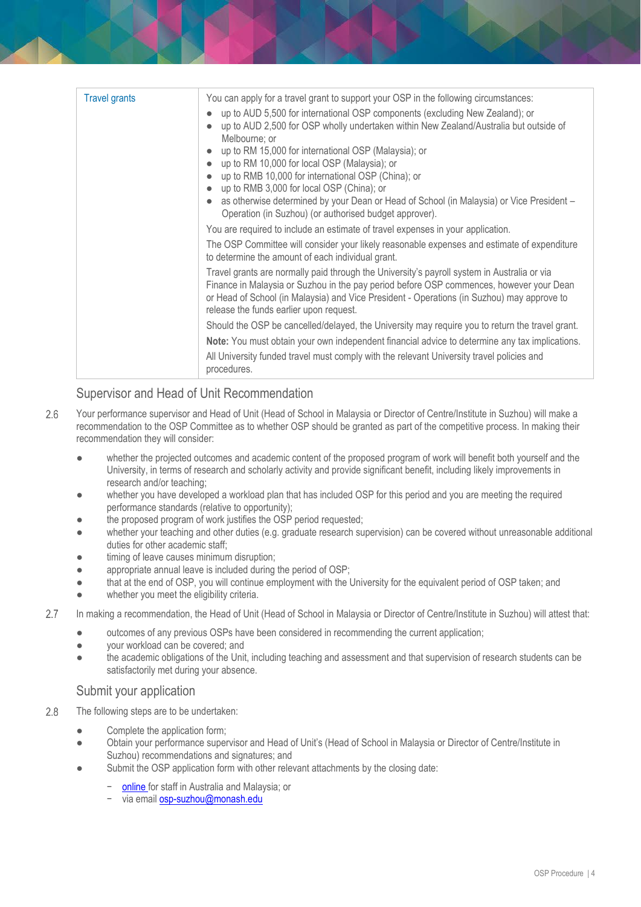| <b>Travel grants</b> | You can apply for a travel grant to support your OSP in the following circumstances:<br>up to AUD 5,500 for international OSP components (excluding New Zealand); or<br>up to AUD 2,500 for OSP wholly undertaken within New Zealand/Australia but outside of<br>Melbourne; or<br>up to RM 15,000 for international OSP (Malaysia); or<br>up to RM 10,000 for local OSP (Malaysia); or<br>up to RMB 10,000 for international OSP (China); or<br>up to RMB 3,000 for local OSP (China); or<br>$\bullet$<br>as otherwise determined by your Dean or Head of School (in Malaysia) or Vice President -<br>Operation (in Suzhou) (or authorised budget approver). |
|----------------------|--------------------------------------------------------------------------------------------------------------------------------------------------------------------------------------------------------------------------------------------------------------------------------------------------------------------------------------------------------------------------------------------------------------------------------------------------------------------------------------------------------------------------------------------------------------------------------------------------------------------------------------------------------------|
|                      | You are required to include an estimate of travel expenses in your application.                                                                                                                                                                                                                                                                                                                                                                                                                                                                                                                                                                              |
|                      | The OSP Committee will consider your likely reasonable expenses and estimate of expenditure<br>to determine the amount of each individual grant.                                                                                                                                                                                                                                                                                                                                                                                                                                                                                                             |
|                      | Travel grants are normally paid through the University's payroll system in Australia or via<br>Finance in Malaysia or Suzhou in the pay period before OSP commences, however your Dean<br>or Head of School (in Malaysia) and Vice President - Operations (in Suzhou) may approve to<br>release the funds earlier upon request.                                                                                                                                                                                                                                                                                                                              |
|                      | Should the OSP be cancelled/delayed, the University may require you to return the travel grant.                                                                                                                                                                                                                                                                                                                                                                                                                                                                                                                                                              |
|                      | Note: You must obtain your own independent financial advice to determine any tax implications.                                                                                                                                                                                                                                                                                                                                                                                                                                                                                                                                                               |
|                      | All University funded travel must comply with the relevant University travel policies and<br>procedures.                                                                                                                                                                                                                                                                                                                                                                                                                                                                                                                                                     |

## Supervisor and Head of Unit Recommendation

- Your performance supervisor and Head of Unit (Head of School in Malaysia or Director of Centre/Institute in Suzhou) will make a  $2.6$ recommendation to the OSP Committee as to whether OSP should be granted as part of the competitive process. In making their recommendation they will consider:
	- whether the projected outcomes and academic content of the proposed program of work will benefit both yourself and the University, in terms of research and scholarly activity and provide significant benefit, including likely improvements in research and/or teaching;
	- whether you have developed a workload plan that has included OSP for this period and you are meeting the required performance standards (relative to opportunity);
	- the proposed program of work justifies the OSP period requested;
	- whether your teaching and other duties (e.g. graduate research supervision) can be covered without unreasonable additional duties for other academic staff;
	- timing of leave causes minimum disruption;
	- appropriate annual leave is included during the period of OSP;
	- that at the end of OSP, you will continue employment with the University for the equivalent period of OSP taken; and
	- whether you meet the eligibility criteria.
- $2.7$ In making a recommendation, the Head of Unit (Head of School in Malaysia or Director of Centre/Institute in Suzhou) will attest that:
	- outcomes of any previous OSPs have been considered in recommending the current application;
	- your workload can be covered; and
	- the academic obligations of the Unit, including teaching and assessment and that supervision of research students can be satisfactorily met during your absence.

#### Submit your application

- 2.8 The following steps are to be undertaken:
	- Complete the application form;
	- Obtain your performance supervisor and Head of Unit's (Head of School in Malaysia or Director of Centre/Institute in Suzhou) recommendations and signatures; and
	- Submit the OSP application form with other relevant attachments by the closing date:
		- − [online fo](https://www.intranet.monash/hr/tools-and-resources/staff-resources/osp)r staff in Australia and Malaysia; or
		- − via email [osp-suzhou@monash.edu](file://///ad.monash.edu/shared/ADM-HR/Workplace-Relations/Workforce%20Policy%20&%20Performance/Policy%20and%20Procedures/Procedures/Probation,%20Promotion%20&%20Performance/Outside%20Study%20Programme/osp-suzhou@monash.edu)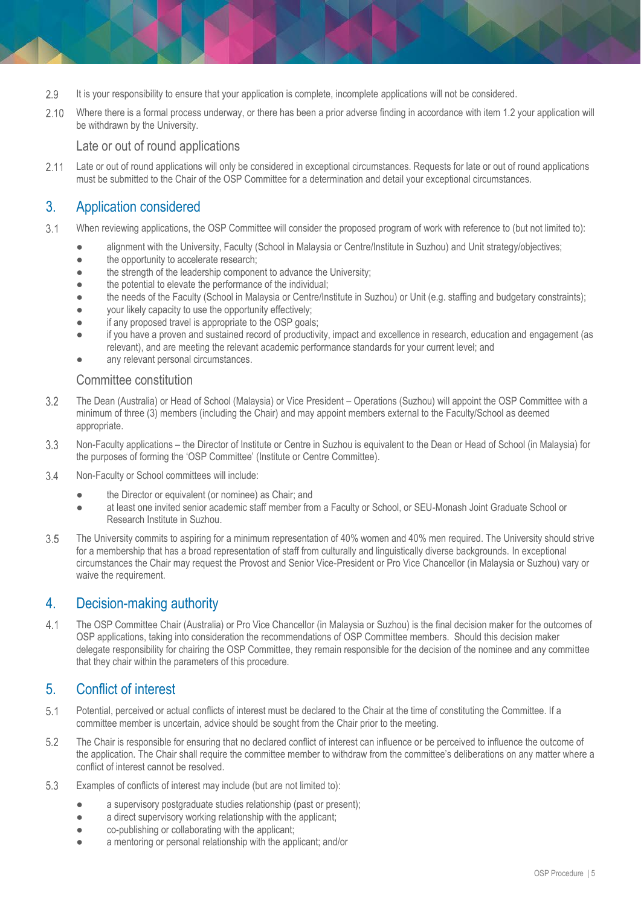- 2.9 It is your responsibility to ensure that your application is complete, incomplete applications will not be considered.
- 2.10 Where there is a formal process underway, or there has been a prior adverse finding in accordance with item 1.2 your application will be withdrawn by the University.

Late or out of round applications

Late or out of round applications will only be considered in exceptional circumstances. Requests for late or out of round applications  $2.11$ must be submitted to the Chair of the OSP Committee for a determination and detail your exceptional circumstances.

## 3. Application considered

- $3.1$ When reviewing applications, the OSP Committee will consider the proposed program of work with reference to (but not limited to):
	- alignment with the University, Faculty (School in Malaysia or Centre/Institute in Suzhou) and Unit strategy/objectives;
	- the opportunity to accelerate research;
	- the strength of the leadership component to advance the University;
	- the potential to elevate the performance of the individual;
	- the needs of the Faculty (School in Malaysia or Centre/Institute in Suzhou) or Unit (e.g. staffing and budgetary constraints);
	- your likely capacity to use the opportunity effectively;
	- if any proposed travel is appropriate to the OSP goals;
	- if you have a proven and sustained record of productivity, impact and excellence in research, education and engagement (as relevant), and are meeting the relevant academic performance standards for your current level; and
	- any relevant personal circumstances.

#### Committee constitution

- 3.2 The Dean (Australia) or Head of School (Malaysia) or Vice President – Operations (Suzhou) will appoint the OSP Committee with a minimum of three (3) members (including the Chair) and may appoint members external to the Faculty/School as deemed appropriate.
- 3.3 Non-Faculty applications – the Director of Institute or Centre in Suzhou is equivalent to the Dean or Head of School (in Malaysia) for the purposes of forming the 'OSP Committee' (Institute or Centre Committee).
- $3.4$ Non-Faculty or School committees will include:
	- the Director or equivalent (or nominee) as Chair; and
	- at least one invited senior academic staff member from a Faculty or School, or SEU-Monash Joint Graduate School or Research Institute in Suzhou.
- 3.5 The University commits to aspiring for a minimum representation of 40% women and 40% men required. The University should strive for a membership that has a broad representation of staff from culturally and linguistically diverse backgrounds. In exceptional circumstances the Chair may request the Provost and Senior Vice-President or Pro Vice Chancellor (in Malaysia or Suzhou) vary or waive the requirement.

## 4. Decision-making authority

 $4.1$ The OSP Committee Chair (Australia) or Pro Vice Chancellor (in Malaysia or Suzhou) is the final decision maker for the outcomes of OSP applications, taking into consideration the recommendations of OSP Committee members. Should this decision maker delegate responsibility for chairing the OSP Committee, they remain responsible for the decision of the nominee and any committee that they chair within the parameters of this procedure.

## 5. Conflict of interest

- $5.1$ Potential, perceived or actual conflicts of interest must be declared to the Chair at the time of constituting the Committee. If a committee member is uncertain, advice should be sought from the Chair prior to the meeting.
- 5.2 The Chair is responsible for ensuring that no declared conflict of interest can influence or be perceived to influence the outcome of the application. The Chair shall require the committee member to withdraw from the committee's deliberations on any matter where a conflict of interest cannot be resolved.
- 5.3 Examples of conflicts of interest may include (but are not limited to):
	- a supervisory postgraduate studies relationship (past or present);
	- a direct supervisory working relationship with the applicant;
	- co-publishing or collaborating with the applicant;
	- a mentoring or personal relationship with the applicant; and/or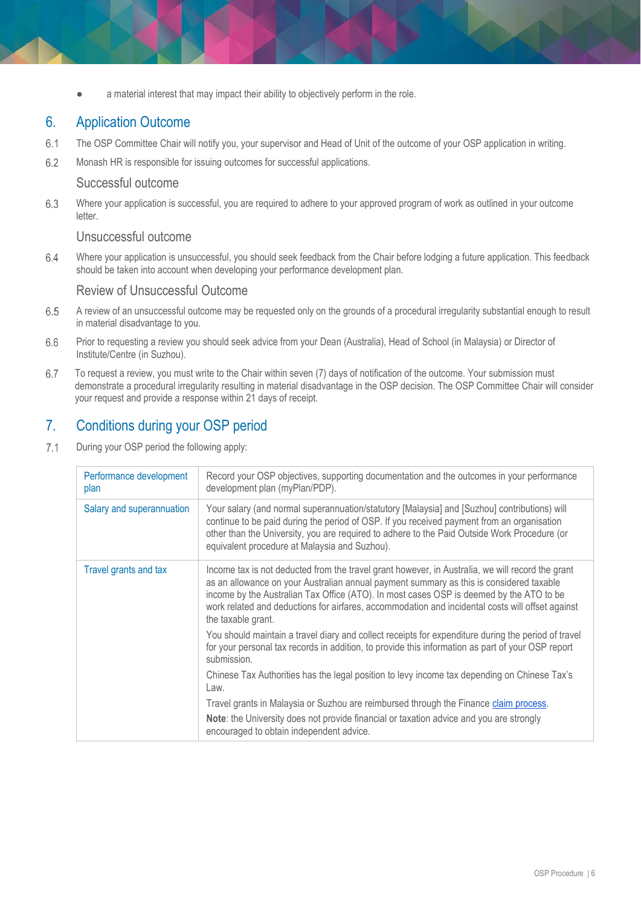a material interest that may impact their ability to objectively perform in the role.

## 6. Application Outcome

- $6.1$ The OSP Committee Chair will notify you, your supervisor and Head of Unit of the outcome of your OSP application in writing.
- 6.2 Monash HR is responsible for issuing outcomes for successful applications.

#### Successful outcome

6.3 Where your application is successful, you are required to adhere to your approved program of work as outlined in your outcome letter.

#### Unsuccessful outcome

6.4 Where your application is unsuccessful, you should seek feedback from the Chair before lodging a future application. This feedback should be taken into account when developing your performance development plan.

#### Review of Unsuccessful Outcome

- 6.5 A review of an unsuccessful outcome may be requested only on the grounds of a procedural irregularity substantial enough to result in material disadvantage to you.
- 6.6 Prior to requesting a review you should seek advice from your Dean (Australia), Head of School (in Malaysia) or Director of Institute/Centre (in Suzhou).
- 6.7 To request a review, you must write to the Chair within seven (7) days of notification of the outcome. Your submission must demonstrate a procedural irregularity resulting in material disadvantage in the OSP decision. The OSP Committee Chair will consider your request and provide a response within 21 days of receipt.

## 7. Conditions during your OSP period

 $7.1$ During your OSP period the following apply:

| Performance development<br>plan | Record your OSP objectives, supporting documentation and the outcomes in your performance<br>development plan (myPlan/PDP).                                                                                                                                                                                                                                                                                      |
|---------------------------------|------------------------------------------------------------------------------------------------------------------------------------------------------------------------------------------------------------------------------------------------------------------------------------------------------------------------------------------------------------------------------------------------------------------|
| Salary and superannuation       | Your salary (and normal superannuation/statutory [Malaysia] and [Suzhou] contributions) will<br>continue to be paid during the period of OSP. If you received payment from an organisation<br>other than the University, you are required to adhere to the Paid Outside Work Procedure (or<br>equivalent procedure at Malaysia and Suzhou).                                                                      |
| Travel grants and tax           | Income tax is not deducted from the travel grant however, in Australia, we will record the grant<br>as an allowance on your Australian annual payment summary as this is considered taxable<br>income by the Australian Tax Office (ATO). In most cases OSP is deemed by the ATO to be<br>work related and deductions for airfares, accommodation and incidental costs will offset against<br>the taxable grant. |
|                                 | You should maintain a travel diary and collect receipts for expenditure during the period of travel<br>for your personal tax records in addition, to provide this information as part of your OSP report<br>submission.                                                                                                                                                                                          |
|                                 | Chinese Tax Authorities has the legal position to levy income tax depending on Chinese Tax's<br>Law.                                                                                                                                                                                                                                                                                                             |
|                                 | Travel grants in Malaysia or Suzhou are reimbursed through the Finance claim process.                                                                                                                                                                                                                                                                                                                            |
|                                 | Note: the University does not provide financial or taxation advice and you are strongly<br>encouraged to obtain independent advice.                                                                                                                                                                                                                                                                              |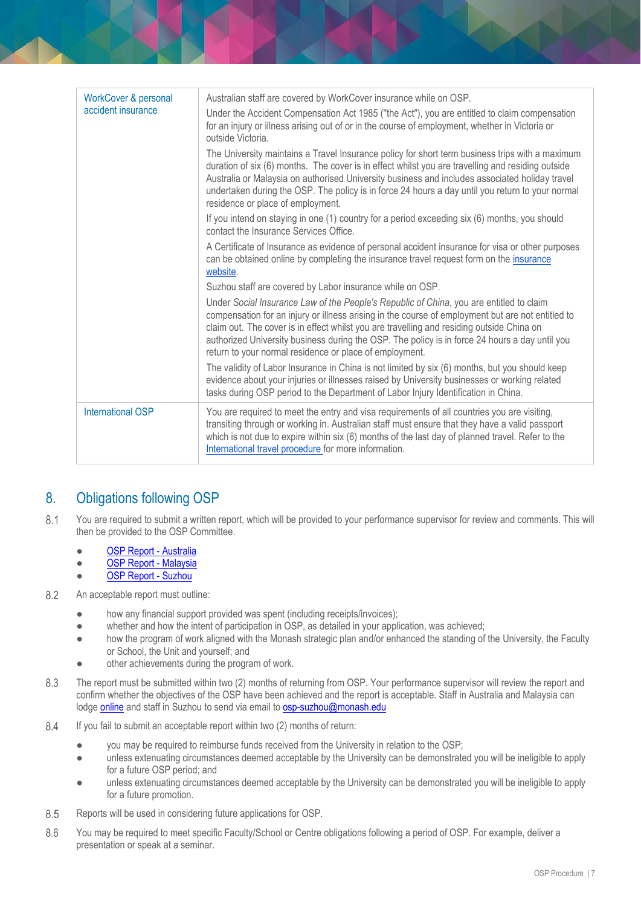| <b>WorkCover &amp; personal</b> | Australian staff are covered by WorkCover insurance while on OSP.                                                                                                                                                                                                                                                                                                                                                                                      |
|---------------------------------|--------------------------------------------------------------------------------------------------------------------------------------------------------------------------------------------------------------------------------------------------------------------------------------------------------------------------------------------------------------------------------------------------------------------------------------------------------|
| accident insurance              | Under the Accident Compensation Act 1985 ("the Act"), you are entitled to claim compensation<br>for an injury or illness arising out of or in the course of employment, whether in Victoria or<br>outside Victoria.                                                                                                                                                                                                                                    |
|                                 | The University maintains a Travel Insurance policy for short term business trips with a maximum<br>duration of six (6) months. The cover is in effect whilst you are travelling and residing outside<br>Australia or Malaysia on authorised University business and includes associated holiday travel<br>undertaken during the OSP. The policy is in force 24 hours a day until you return to your normal<br>residence or place of employment.        |
|                                 | If you intend on staying in one (1) country for a period exceeding six (6) months, you should<br>contact the Insurance Services Office.                                                                                                                                                                                                                                                                                                                |
|                                 | A Certificate of Insurance as evidence of personal accident insurance for visa or other purposes<br>can be obtained online by completing the insurance travel request form on the insurance<br>website.                                                                                                                                                                                                                                                |
|                                 | Suzhou staff are covered by Labor insurance while on OSP.                                                                                                                                                                                                                                                                                                                                                                                              |
|                                 | Under Social Insurance Law of the People's Republic of China, you are entitled to claim<br>compensation for an injury or illness arising in the course of employment but are not entitled to<br>claim out. The cover is in effect whilst you are travelling and residing outside China on<br>authorized University business during the OSP. The policy is in force 24 hours a day until you<br>return to your normal residence or place of employment. |
|                                 | The validity of Labor Insurance in China is not limited by six (6) months, but you should keep<br>evidence about your injuries or illnesses raised by University businesses or working related<br>tasks during OSP period to the Department of Labor Injury Identification in China.                                                                                                                                                                   |
| <b>International OSP</b>        | You are required to meet the entry and visa requirements of all countries you are visiting,<br>transiting through or working in. Australian staff must ensure that they have a valid passport<br>which is not due to expire within six (6) months of the last day of planned travel. Refer to the<br>International travel procedure for more information.                                                                                              |

## 8. Obligations following OSP

- $8.1$ You are required to submit a written report, which will be provided to your performance supervisor for review and comments. This will then be provided to the OSP Committee.
	- **[OSP Report -](https://www.monash.edu/eforms-resources/frevvo-forms/hr/osp-report) Australia**
	- [OSP Report -](https://form.asana.com/?k=R4qL_70EUIu4Z9GvlemATQ&d=943385589454630) Malaysia
	- OSP Report Suzhou
- 8.2 An acceptable report must outline:
	- how any financial support provided was spent (including receipts/invoices);
	- whether and how the intent of participation in OSP, as detailed in your application, was achieved;
	- how the program of work aligned with the Monash strategic plan and/or enhanced the standing of the University, the Faculty or School, the Unit and yourself; and
	- other achievements during the program of work.
- 8.3 The report must be submitted within two (2) months of returning from OSP. Your performance supervisor will review the report and confirm whether the objectives of the OSP have been achieved and the report is acceptable. Staff in Australia and Malaysia can lodge online and staff in Suzhou to send via email to [osp-suzhou@monash.edu](mailto:osp-suzhou@monash.edu)
- 8.4 If you fail to submit an acceptable report within two (2) months of return:
	- you may be required to reimburse funds received from the University in relation to the OSP;
	- unless extenuating circumstances deemed acceptable by the University can be demonstrated you will be ineligible to apply for a future OSP period; and
	- unless extenuating circumstances deemed acceptable by the University can be demonstrated you will be ineligible to apply for a future promotion.
- 8.5 Reports will be used in considering future applications for OSP.
- You may be required to meet specific Faculty/School or Centre obligations following a period of OSP. For example, deliver a 8.6 presentation or speak at a seminar.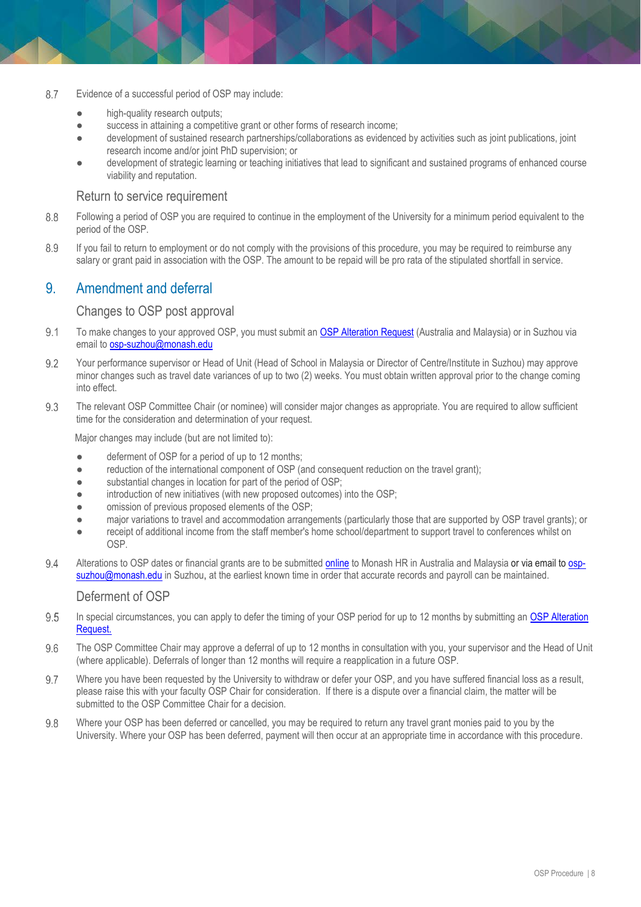- 8.7 Evidence of a successful period of OSP may include:
	- high-quality research outputs;
	- success in attaining a competitive grant or other forms of research income;
	- development of sustained research partnerships/collaborations as evidenced by activities such as joint publications, joint research income and/or joint PhD supervision; or
	- development of strategic learning or teaching initiatives that lead to significant and sustained programs of enhanced course viability and reputation.

#### Return to service requirement

- 8.8 Following a period of OSP you are required to continue in the employment of the University for a minimum period equivalent to the period of the OSP.
- 8.9 If you fail to return to employment or do not comply with the provisions of this procedure, you may be required to reimburse any salary or grant paid in association with the OSP. The amount to be repaid will be pro rata of the stipulated shortfall in service.

## 9. Amendment and deferral

#### Changes to OSP post approval

- $9.1$ To make changes to your approved OSP, you must submit an [OSP Alteration Request](https://www.monash.edu/eforms-resources/frevvo-forms/hr/osp-alteration-request) (Australia and Malaysia) or in Suzhou via email to [osp-suzhou@monash.edu](file://///ad.monash.edu/shared/ADM-HR/Workplace-Relations/Workforce%20Policy%20&%20Performance/Policy%20and%20Procedures/Procedures/Probation,%20Promotion%20&%20Performance/Outside%20Study%20Programme/osp-suzhou@monash.edu)
- 9.2 Your performance supervisor or Head of Unit (Head of School in Malaysia or Director of Centre/Institute in Suzhou) may approve minor changes such as travel date variances of up to two (2) weeks. You must obtain written approval prior to the change coming into effect.
- 9.3 The relevant OSP Committee Chair (or nominee) will consider major changes as appropriate. You are required to allow sufficient time for the consideration and determination of your request.

Major changes may include (but are not limited to):

- deferment of OSP for a period of up to 12 months;
- reduction of the international component of OSP (and consequent reduction on the travel grant);
- substantial changes in location for part of the period of OSP;
- introduction of new initiatives (with new proposed outcomes) into the OSP;
- $\bullet$  omission of previous proposed elements of the OSP;
- major variations to travel and accommodation arrangements (particularly those that are supported by OSP travel grants); or
- receipt of additional income from the staff member's home school/department to support travel to conferences whilst on OSP.
- 94 Alterations to OSP dates or financial grants are to be submitted [online](https://www.monash.edu/eforms-resources/frevvo-forms/hr/osp-alteration-request) to Monash HR in Australia and Malaysia or via email to [osp](mailto:osp-suzhou@monash.edu)[suzhou@monash.edu](mailto:osp-suzhou@monash.edu) in Suzhou, at the earliest known time in order that accurate records and payroll can be maintained.

#### Deferment of OSP

- 9.5 In special circumstances, you can apply to defer the timing of your OSP period for up to 12 months by submitting an OSP Alteration [Request.](https://www.monash.edu/eforms-resources/frevvo-forms/hr/osp-alteration-request)
- $96$ The OSP Committee Chair may approve a deferral of up to 12 months in consultation with you, your supervisor and the Head of Unit (where applicable). Deferrals of longer than 12 months will require a reapplication in a future OSP.
- 9.7 Where you have been requested by the University to withdraw or defer your OSP, and you have suffered financial loss as a result, please raise this with your faculty OSP Chair for consideration. If there is a dispute over a financial claim, the matter will be submitted to the OSP Committee Chair for a decision.
- 9.8 Where your OSP has been deferred or cancelled, you may be required to return any travel grant monies paid to you by the University. Where your OSP has been deferred, payment will then occur at an appropriate time in accordance with this procedure.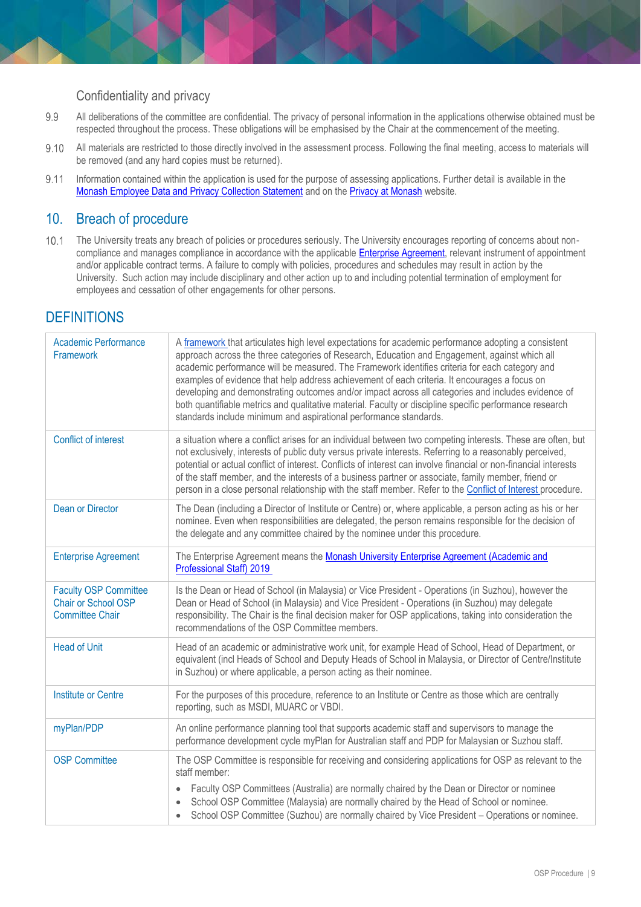#### Confidentiality and privacy

- 9.9 All deliberations of the committee are confidential. The privacy of personal information in the applications otherwise obtained must be respected throughout the process. These obligations will be emphasised by the Chair at the commencement of the meeting.
- 9.10 All materials are restricted to those directly involved in the assessment process. Following the final meeting, access to materials will be removed (and any hard copies must be returned).
- 9.11 Information contained within the application is used for the purpose of assessing applications. Further detail is available in the [Monash Employee Data and Privacy Collection Statement](https://www.monash.edu/__data/assets/pdf_file/0008/1595267/Employee-Data-Protection-and-Privacy-Collection-Statement.pdf) and on the [Privacy at Monash](https://www.monash.edu/privacy-monash) website.

## 10. Breach of procedure

 $10.1$ The University treats any breach of policies or procedures seriously. The University encourages reporting of concerns about noncompliance and manages compliance in accordance with the applicable **Enterprise Agreement**, relevant instrument of appointment and/or applicable contract terms. A failure to comply with policies, procedures and schedules may result in action by the University. Such action may include disciplinary and other action up to and including potential termination of employment for employees and cessation of other engagements for other persons.

## **DEFINITIONS**

| <b>Academic Performance</b><br>Framework                                      | A framework that articulates high level expectations for academic performance adopting a consistent<br>approach across the three categories of Research, Education and Engagement, against which all<br>academic performance will be measured. The Framework identifies criteria for each category and<br>examples of evidence that help address achievement of each criteria. It encourages a focus on<br>developing and demonstrating outcomes and/or impact across all categories and includes evidence of<br>both quantifiable metrics and qualitative material. Faculty or discipline specific performance research<br>standards include minimum and aspirational performance standards. |
|-------------------------------------------------------------------------------|-----------------------------------------------------------------------------------------------------------------------------------------------------------------------------------------------------------------------------------------------------------------------------------------------------------------------------------------------------------------------------------------------------------------------------------------------------------------------------------------------------------------------------------------------------------------------------------------------------------------------------------------------------------------------------------------------|
| <b>Conflict of interest</b>                                                   | a situation where a conflict arises for an individual between two competing interests. These are often, but<br>not exclusively, interests of public duty versus private interests. Referring to a reasonably perceived,<br>potential or actual conflict of interest. Conflicts of interest can involve financial or non-financial interests<br>of the staff member, and the interests of a business partner or associate, family member, friend or<br>person in a close personal relationship with the staff member. Refer to the Conflict of Interest procedure.                                                                                                                             |
| <b>Dean or Director</b>                                                       | The Dean (including a Director of Institute or Centre) or, where applicable, a person acting as his or her<br>nominee. Even when responsibilities are delegated, the person remains responsible for the decision of<br>the delegate and any committee chaired by the nominee under this procedure.                                                                                                                                                                                                                                                                                                                                                                                            |
| <b>Enterprise Agreement</b>                                                   | The Enterprise Agreement means the Monash University Enterprise Agreement (Academic and<br>Professional Staff) 2019                                                                                                                                                                                                                                                                                                                                                                                                                                                                                                                                                                           |
| <b>Faculty OSP Committee</b><br>Chair or School OSP<br><b>Committee Chair</b> | Is the Dean or Head of School (in Malaysia) or Vice President - Operations (in Suzhou), however the<br>Dean or Head of School (in Malaysia) and Vice President - Operations (in Suzhou) may delegate<br>responsibility. The Chair is the final decision maker for OSP applications, taking into consideration the<br>recommendations of the OSP Committee members.                                                                                                                                                                                                                                                                                                                            |
| <b>Head of Unit</b>                                                           | Head of an academic or administrative work unit, for example Head of School, Head of Department, or<br>equivalent (incl Heads of School and Deputy Heads of School in Malaysia, or Director of Centre/Institute<br>in Suzhou) or where applicable, a person acting as their nominee.                                                                                                                                                                                                                                                                                                                                                                                                          |
| <b>Institute or Centre</b>                                                    | For the purposes of this procedure, reference to an Institute or Centre as those which are centrally<br>reporting, such as MSDI, MUARC or VBDI.                                                                                                                                                                                                                                                                                                                                                                                                                                                                                                                                               |
| myPlan/PDP                                                                    | An online performance planning tool that supports academic staff and supervisors to manage the<br>performance development cycle myPlan for Australian staff and PDP for Malaysian or Suzhou staff.                                                                                                                                                                                                                                                                                                                                                                                                                                                                                            |
| <b>OSP Committee</b>                                                          | The OSP Committee is responsible for receiving and considering applications for OSP as relevant to the<br>staff member:<br>Faculty OSP Committees (Australia) are normally chaired by the Dean or Director or nominee<br>$\bullet$<br>School OSP Committee (Malaysia) are normally chaired by the Head of School or nominee.<br>School OSP Committee (Suzhou) are normally chaired by Vice President - Operations or nominee.                                                                                                                                                                                                                                                                 |